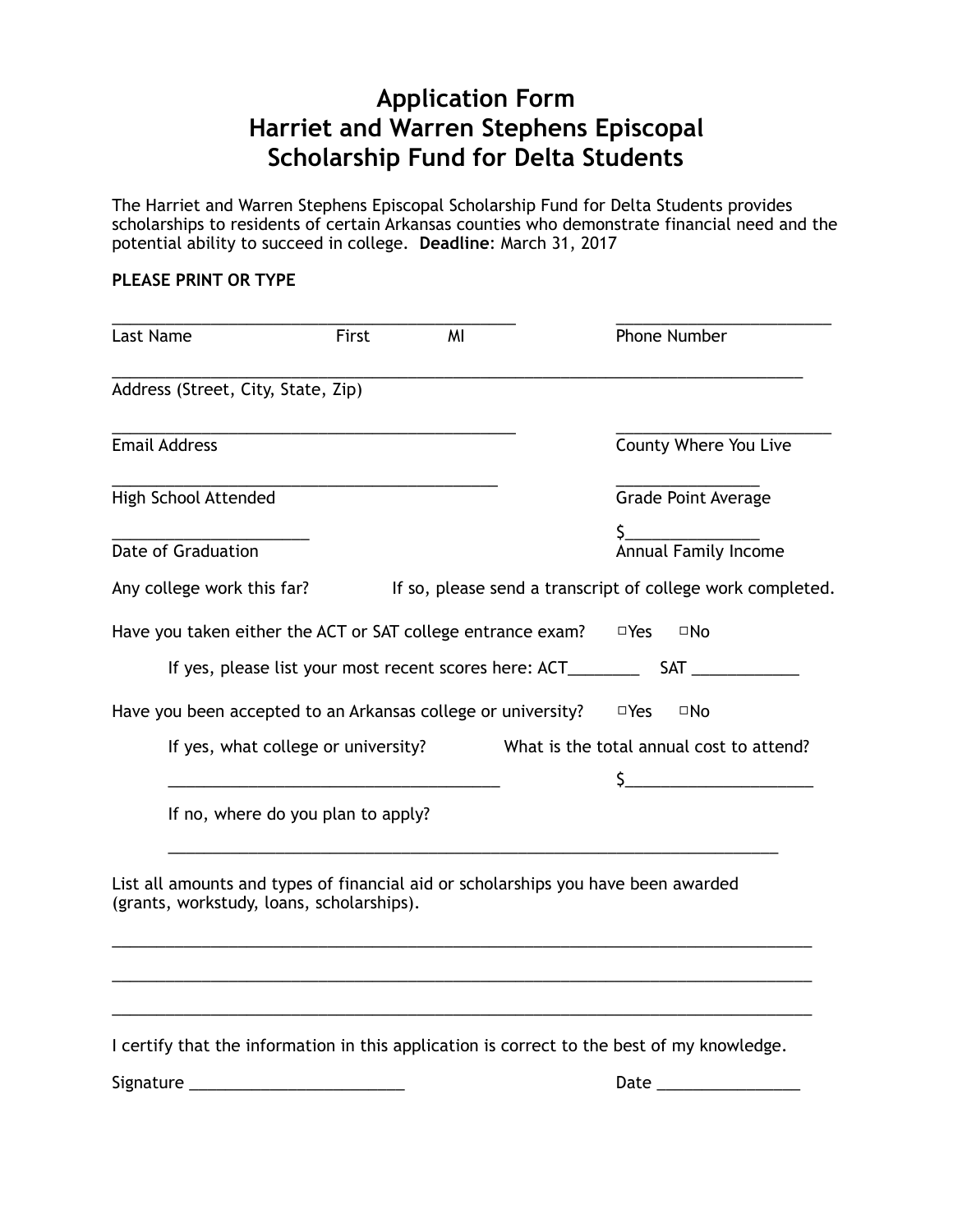## **Application Form Harriet and Warren Stephens Episcopal Scholarship Fund for Delta Students**

The Harriet and Warren Stephens Episcopal Scholarship Fund for Delta Students provides scholarships to residents of certain Arkansas counties who demonstrate financial need and the potential ability to succeed in college. **Deadline**: March 31, 2017

## **PLEASE PRINT OR TYPE**

| Last Name |                                                                                                                                | First | MI |            | Phone Number                                               |
|-----------|--------------------------------------------------------------------------------------------------------------------------------|-------|----|------------|------------------------------------------------------------|
|           | Address (Street, City, State, Zip)                                                                                             |       |    |            |                                                            |
|           | <b>Email Address</b>                                                                                                           |       |    |            | County Where You Live                                      |
|           | High School Attended                                                                                                           |       |    |            | <b>Grade Point Average</b>                                 |
|           | Date of Graduation                                                                                                             |       |    |            | Annual Family Income                                       |
|           | Any college work this far?                                                                                                     |       |    |            | If so, please send a transcript of college work completed. |
|           | Have you taken either the ACT or SAT college entrance exam?                                                                    |       |    | $\Box$ Yes | ⊡No                                                        |
|           | If yes, please list your most recent scores here: ACT________                                                                  |       |    |            | <b>SAT</b>                                                 |
|           | Have you been accepted to an Arkansas college or university?                                                                   |       |    | $\Box$ Yes | $\square$ No                                               |
|           | If yes, what college or university?                                                                                            |       |    |            | What is the total annual cost to attend?                   |
|           |                                                                                                                                |       |    | S.         | <u> 1980 - Johann Barbara, martxa a</u>                    |
|           | If no, where do you plan to apply?                                                                                             |       |    |            |                                                            |
|           | List all amounts and types of financial aid or scholarships you have been awarded<br>(grants, workstudy, loans, scholarships). |       |    |            |                                                            |
|           | I certify that the information in this application is correct to the best of my knowledge.                                     |       |    |            |                                                            |

Signature \_\_\_\_\_\_\_\_\_\_\_\_\_\_\_\_\_\_\_\_\_\_\_\_ Date \_\_\_\_\_\_\_\_\_\_\_\_\_\_\_\_